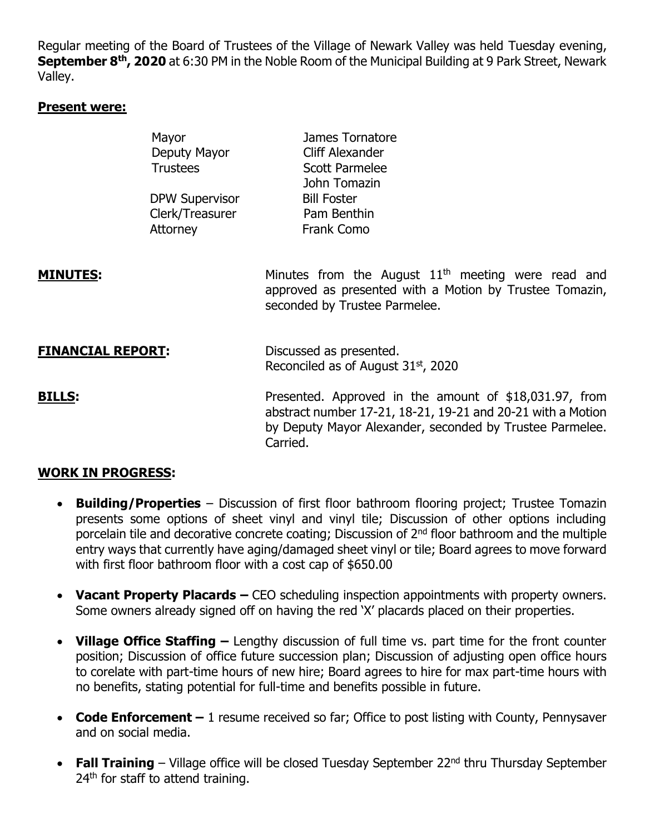Regular meeting of the Board of Trustees of the Village of Newark Valley was held Tuesday evening, **September 8th, 2020** at 6:30 PM in the Noble Room of the Municipal Building at 9 Park Street, Newark Valley.

#### **Present were:**

|                          | Mayor<br>Deputy Mayor<br><b>Trustees</b><br><b>DPW Supervisor</b><br>Clerk/Treasurer<br>Attorney | James Tornatore<br>Cliff Alexander<br><b>Scott Parmelee</b><br>John Tomazin<br><b>Bill Foster</b><br>Pam Benthin<br>Frank Como                                                                |
|--------------------------|--------------------------------------------------------------------------------------------------|-----------------------------------------------------------------------------------------------------------------------------------------------------------------------------------------------|
| <u>MINUTES:</u>          |                                                                                                  | Minutes from the August $11th$ meeting were read and<br>approved as presented with a Motion by Trustee Tomazin,<br>seconded by Trustee Parmelee.                                              |
| <b>FINANCIAL REPORT:</b> |                                                                                                  | Discussed as presented.<br>Reconciled as of August 31 <sup>st</sup> , 2020                                                                                                                    |
| <b>BILLS:</b>            |                                                                                                  | Presented. Approved in the amount of \$18,031.97, from<br>abstract number 17-21, 18-21, 19-21 and 20-21 with a Motion<br>by Deputy Mayor Alexander, seconded by Trustee Parmelee.<br>Carried. |

## **WORK IN PROGRESS:**

- **Building/Properties** Discussion of first floor bathroom flooring project; Trustee Tomazin presents some options of sheet vinyl and vinyl tile; Discussion of other options including porcelain tile and decorative concrete coating; Discussion of 2nd floor bathroom and the multiple entry ways that currently have aging/damaged sheet vinyl or tile; Board agrees to move forward with first floor bathroom floor with a cost cap of \$650.00
- **Vacant Property Placards –** CEO scheduling inspection appointments with property owners. Some owners already signed off on having the red 'X' placards placed on their properties.
- **Village Office Staffing –** Lengthy discussion of full time vs. part time for the front counter position; Discussion of office future succession plan; Discussion of adjusting open office hours to corelate with part-time hours of new hire; Board agrees to hire for max part-time hours with no benefits, stating potential for full-time and benefits possible in future.
- **Code Enforcement –** 1 resume received so far; Office to post listing with County, Pennysaver and on social media.
- **Fall Training** Village office will be closed Tuesday September 22<sup>nd</sup> thru Thursday September 24<sup>th</sup> for staff to attend training.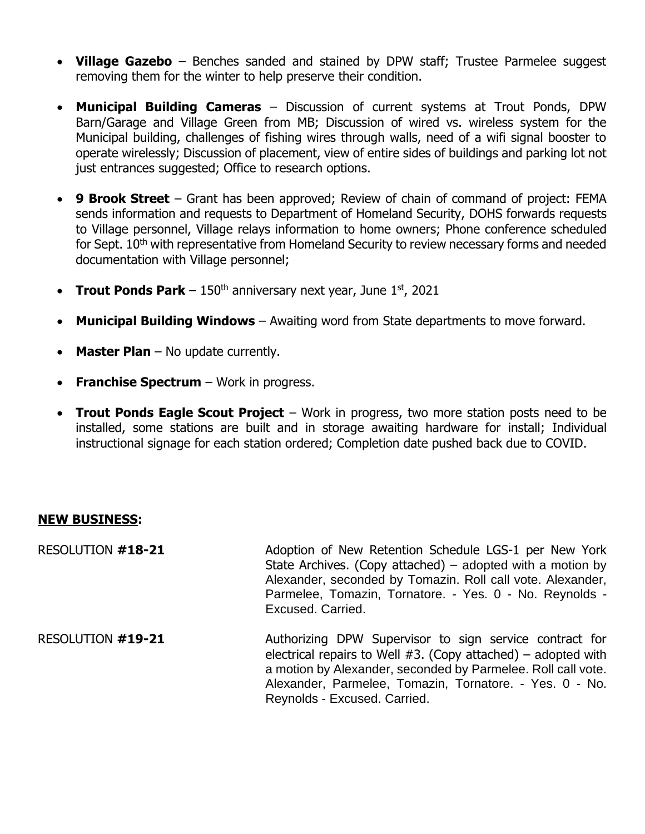- **Village Gazebo** Benches sanded and stained by DPW staff; Trustee Parmelee suggest removing them for the winter to help preserve their condition.
- **Municipal Building Cameras** Discussion of current systems at Trout Ponds, DPW Barn/Garage and Village Green from MB; Discussion of wired vs. wireless system for the Municipal building, challenges of fishing wires through walls, need of a wifi signal booster to operate wirelessly; Discussion of placement, view of entire sides of buildings and parking lot not just entrances suggested; Office to research options.
- **9 Brook Street** Grant has been approved; Review of chain of command of project: FEMA sends information and requests to Department of Homeland Security, DOHS forwards requests to Village personnel, Village relays information to home owners; Phone conference scheduled for Sept. 10<sup>th</sup> with representative from Homeland Security to review necessary forms and needed documentation with Village personnel;
- **Trout Ponds Park**  $-150<sup>th</sup>$  anniversary next year, June  $1<sup>st</sup>$ , 2021
- **Municipal Building Windows** Awaiting word from State departments to move forward.
- **Master Plan** No update currently.
- **Franchise Spectrum** Work in progress.
- **Trout Ponds Eagle Scout Project** Work in progress, two more station posts need to be installed, some stations are built and in storage awaiting hardware for install; Individual instructional signage for each station ordered; Completion date pushed back due to COVID.

### **NEW BUSINESS:**

RESOLUTION **#18-21** Adoption of New Retention Schedule LGS-1 per New York State Archives. (Copy attached) – adopted with a motion by Alexander, seconded by Tomazin. Roll call vote. Alexander, Parmelee, Tomazin, Tornatore. - Yes. 0 - No. Reynolds - Excused. Carried.

RESOLUTION **#19-21** Authorizing DPW Supervisor to sign service contract for electrical repairs to Well  $#3$ . (Copy attached) – adopted with a motion by Alexander, seconded by Parmelee. Roll call vote. Alexander, Parmelee, Tomazin, Tornatore. - Yes. 0 - No. Reynolds - Excused. Carried.